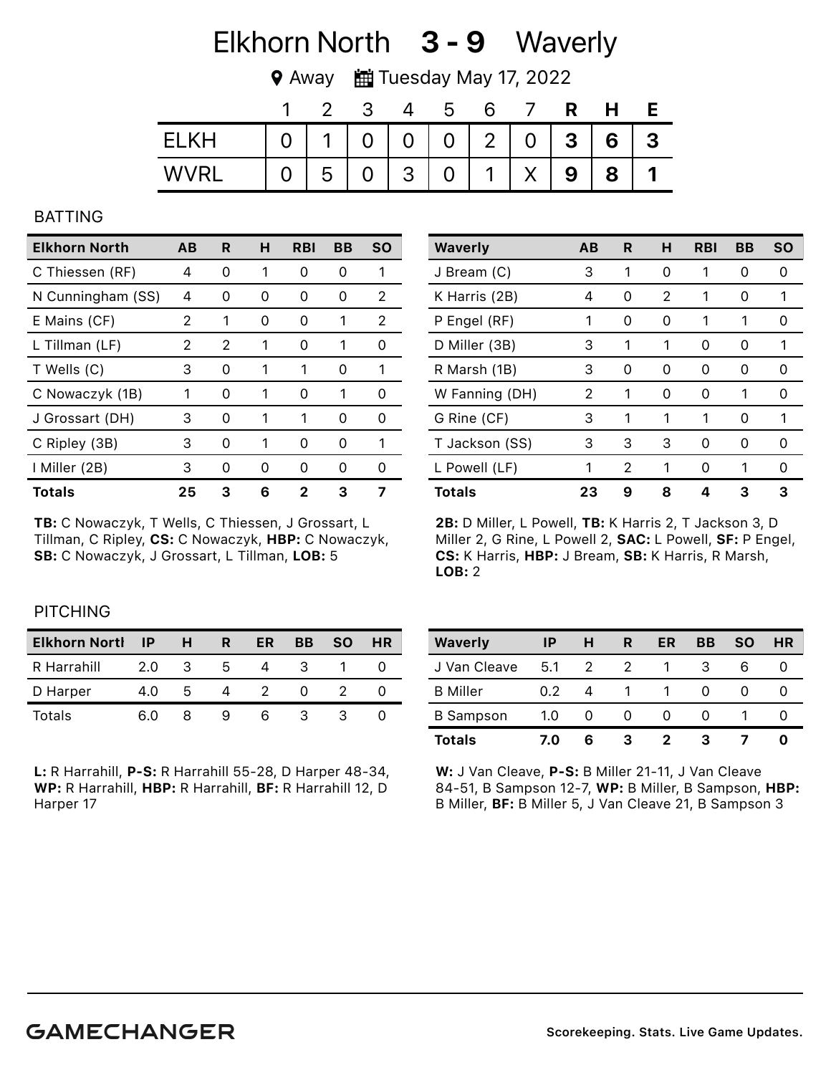# Elkhorn North 3 - 9 Waverly

◆ Away ■ Tuesday May 17, 2022

|             |             | 2              |                | b                 |             |   |   |   |   |
|-------------|-------------|----------------|----------------|-------------------|-------------|---|---|---|---|
| <b>FIKH</b> | $\mathbf 1$ | 0 <sup>1</sup> |                | 0   0   2   0   3 |             |   |   | 6 | 3 |
| <b>WVRI</b> | 5           |                | 3 <sup>1</sup> | $\Omega$          | $\mathbf 1$ | X | 9 | 8 |   |

#### BATTING

| Elkhorn North     | AВ | R             | н | <b>RBI</b>    | BВ            | <b>SO</b> |
|-------------------|----|---------------|---|---------------|---------------|-----------|
| C Thiessen (RF)   | 4  | 0             | 1 | Ω             | Ω             | 1         |
| N Cunningham (SS) | 4  | O             | O | 0             | $\mathcal{L}$ | 2         |
| E Mains (CF)      | 2  | 1             | O | $\mathcal{L}$ | 1             | 2         |
| L Tillman (LF)    | 2  | 2             | 1 | 0             |               | O         |
| T Wells (C)       | 3  | 0             | 1 | 1             | O             | 1         |
| C Nowaczyk (1B)   | 1  | $\mathcal{L}$ | 1 | 0             |               | O         |
| J Grossart (DH)   | 3  | Ω             | 1 |               | O             | O         |
| C Ripley (3B)     | 3  | $\mathcal{L}$ |   | O             | $\mathcal{L}$ | 1         |
| I Miller (2B)     | 3  | O             | O | O             | O             | 0         |
| <b>Totals</b>     | 25 | 3             | 6 |               | 3             |           |

TB: C Nowaczyk, T Wells, C Thiessen, J Grossart, L Tillman, C Ripley, CS: C Nowaczyk, HBP: C Nowaczyk, SB: C Nowaczyk, J Grossart, L Tillman, LOB: 5

| <b>Waverly</b> | AB | R | н | <b>RBI</b> | BВ            | <b>SO</b> |
|----------------|----|---|---|------------|---------------|-----------|
| J Bream (C)    | 3  | 1 | 0 | 1          | 0             | 0         |
| K Harris (2B)  | 4  | 0 | 2 | 1          | 0             | 1         |
| P Engel (RF)   | 1  | 0 | 0 | 1          | 1             | O         |
| D Miller (3B)  | 3  | 1 | 1 | 0          | Ω             | 1         |
| R Marsh (1B)   | 3  | 0 | 0 | O          | O             | Ω         |
| W Fanning (DH) | 2  | 1 | 0 | O          | 1             | 0         |
| G Rine (CF)    | 3  | 1 | 1 | 1          | 0             | 1         |
| T Jackson (SS) | 3  | 3 | 3 | O)         | $\mathcal{L}$ | $^{(1)}$  |
| L Powell (LF)  | 1  | 2 | 1 | O          |               | 0         |
| <b>Totals</b>  | 23 | 9 | 8 | Δ          | 3             | 3         |

2B: D Miller, L Powell, TB: K Harris 2, T Jackson 3, D Miller 2, G Rine, L Powell 2, SAC: L Powell, SF: P Engel, CS: K Harris, HBP: J Bream, SB: K Harris, R Marsh, LOB: 2

## **PITCHING**

| <b>Elkhorn Nortl</b> | IP  | н | R | ER | BB | <b>SO</b> | <b>HR</b> |
|----------------------|-----|---|---|----|----|-----------|-----------|
| R Harrahill          | 2.0 | 3 | h |    |    |           |           |
| D Harper             | 4.0 | h |   |    |    |           |           |
| Totals               | 6.0 | x |   | h  |    |           |           |

L: R Harrahill, P-S: R Harrahill 55-28, D Harper 48-34, WP: R Harrahill, HBP: R Harrahill, BF: R Harrahill 12, D Harper 17

| Waverly          | ΙP  | н  | R | ER | BВ | <b>SO</b> | <b>HR</b> |
|------------------|-----|----|---|----|----|-----------|-----------|
| J Van Cleave     | 5.1 | 2  |   |    |    | 6         |           |
| <b>B</b> Miller  | 0.2 |    |   |    |    |           |           |
| <b>B</b> Sampson | 1.0 |    |   |    |    |           |           |
| <b>Totals</b>    | 7.0 | ุค |   | 2  | 3  |           |           |

W: J Van Cleave, P-S: B Miller 21-11, J Van Cleave 84-51, B Sampson 12-7, WP: B Miller, B Sampson, HBP: B Miller, BF: B Miller 5, J Van Cleave 21, B Sampson 3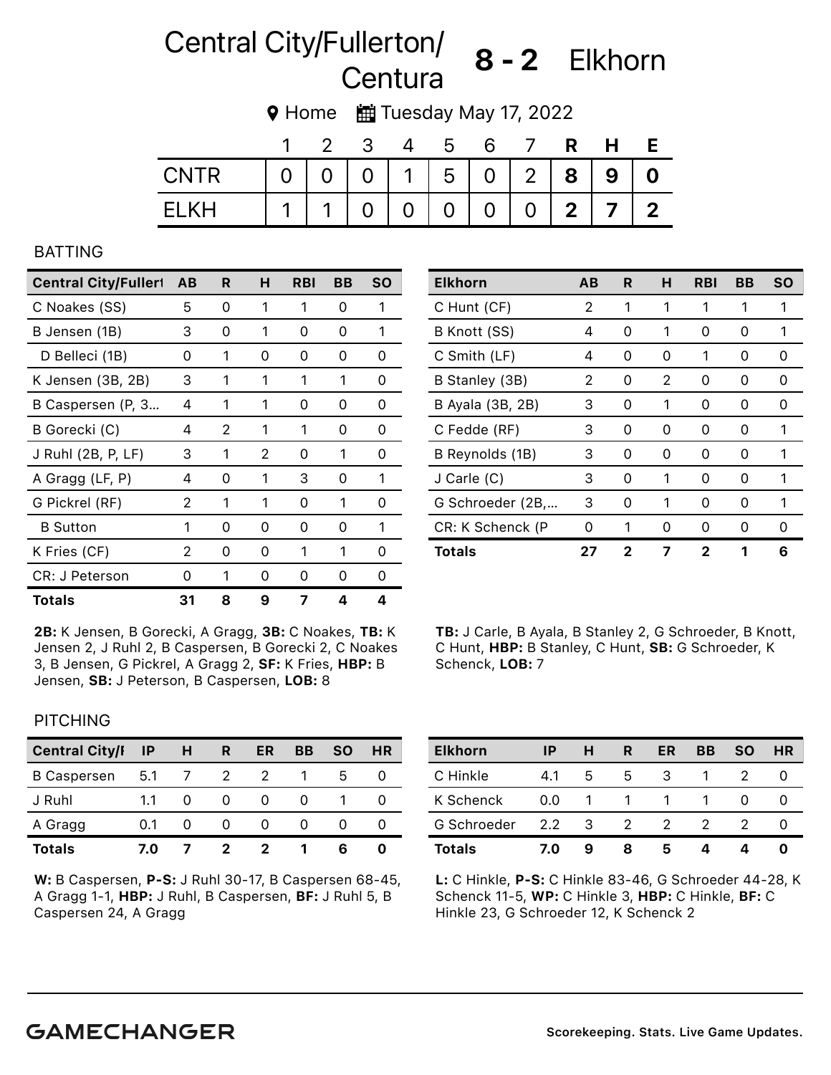# Central City/Fullerton/ Guilding 8 - 2 Elkhorn

9 Home **曲** Tuesday May 17, 2022

|             |                |                |                | b                 |                |                |                |   |              |
|-------------|----------------|----------------|----------------|-------------------|----------------|----------------|----------------|---|--------------|
| <b>CNTR</b> | $\overline{O}$ | 0 <sup>1</sup> |                | 0   1   5   0   2 |                |                | 8 <sup>1</sup> | 9 |              |
| FI KH       |                |                | $\overline{0}$ | $\overline{0}$    | $\overline{0}$ | $\overline{0}$ | 2 <sup>1</sup> |   | $\mathbf{2}$ |

### BATTING

| <b>Central City/Fullert</b> | AB | R | н | RBI | BВ | <b>SO</b> |
|-----------------------------|----|---|---|-----|----|-----------|
| C Noakes (SS)               | 5  | 0 | 1 | 1   | 0  | 1         |
| B Jensen (1B)               | З  | 0 | 1 | 0   | Ω  | 1         |
| D Belleci (1B)              | Ω  | 1 | O | O   | O  | Ω         |
| K Jensen (3B, 2B)           | 3  | 1 | 1 | 1   | 1  | 0         |
| B Caspersen (P, 3           | 4  | 1 | 1 | 0   | Ω  | Ω         |
| B Gorecki (C)               | 4  | 2 | 1 | 1   | O  | Ω         |
| J Ruhl (2B, P, LF)          | 3  | 1 | 2 | 0   | 1  | ი         |
| A Gragg (LF, P)             | 4  | 0 | 1 | 3   | O  | 1         |
| G Pickrel (RF)              | 2  | 1 | 1 | 0   | 1  | Ω         |
| <b>B</b> Sutton             | 1  | 0 | Ω | 0   | O  | 1         |
| K Fries (CF)                | 2  | 0 | O | 1   | 1  | ი         |
| CR: J Peterson              | Ω  | 1 | 0 | Ω   | Ω  | Ω         |
| <b>Totals</b>               | 31 | 8 | 9 | 7   | Δ  | Δ         |

2B: K Jensen, B Gorecki, A Gragg, 3B: C Noakes, TB: K Jensen 2, J Ruhl 2, B Caspersen, B Gorecki 2, C Noakes 3, B Jensen, G Pickrel, A Gragg 2, SF: K Fries, HBP: B Jensen, SB: J Peterson, B Caspersen, LOB: 8

| <b>Elkhorn</b>   | AВ | R | н  | <b>RBI</b> | BВ | <b>SO</b> |
|------------------|----|---|----|------------|----|-----------|
| C Hunt (CF)      | 2  | 1 | 1  | 1          | 1  | 1         |
| B Knott (SS)     | 4  | 0 | 1  | 0          | Ω  | 1         |
| C Smith (LF)     | 4  | 0 | O  | 1          | Ω  | O         |
| B Stanley (3B)   | 2  | 0 | 2  | 0          | Ω  | O         |
| B Ayala (3B, 2B) | 3  | 0 | 1  | 0          | Ω  | O         |
| C Fedde (RF)     | 3  | 0 | 0  | 0          | 0  | 1         |
| B Reynolds (1B)  | 3  | 0 | 0  | 0          | Ω  | 1         |
| J Carle (C)      | 3  | O | 1  | O          | Ω  | 1         |
| G Schroeder (2B, | 3  | 0 | 1  | 0          | Ω  | 1         |
| CR: K Schenck (P | O  | 1 | O) | Ω          | O  | Ω         |
| <b>Totals</b>    | 27 | 2 |    | 2          |    | 6         |

TB: J Carle, B Ayala, B Stanley 2, G Schroeder, B Knott, C Hunt, HBP: B Stanley, C Hunt, SB: G Schroeder, K Schenck, LOB: 7

## **PITCHING**

| <b>Central City/I</b> | <b>IP</b> | н | R | ER | BВ | SΟ | HR |
|-----------------------|-----------|---|---|----|----|----|----|
| <b>B</b> Caspersen    | - 5.1     |   | 2 |    |    | h  |    |
| J Ruhl                | 1.1       |   |   |    |    |    |    |
| A Gragg               |           |   |   |    |    |    |    |
| <b>Totals</b>         | 7.0       |   | 2 |    |    |    |    |

W: B Caspersen, P-S: J Ruhl 30-17, B Caspersen 68-45, A Gragg 1-1, HBP: J Ruhl, B Caspersen, BF: J Ruhl 5, B Caspersen 24, A Gragg

| <b>Elkhorn</b> | ΙP            | н  | R | ER | BВ | <b>SO</b> | <b>HR</b> |
|----------------|---------------|----|---|----|----|-----------|-----------|
| C Hinkle       | 4.1           | 5  | 5 | 3  |    |           |           |
| K Schenck      | 0.0           |    |   |    |    |           |           |
| G Schroeder    | $2.2^{\circ}$ | -3 | 2 | 2  |    |           |           |
| <b>Totals</b>  | 7.0           |    |   | 5  |    |           |           |

L: C Hinkle, P-S: C Hinkle 83-46, G Schroeder 44-28, K Schenck 11-5, WP: C Hinkle 3, HBP: C Hinkle, BF: C Hinkle 23, G Schroeder 12, K Schenck 2